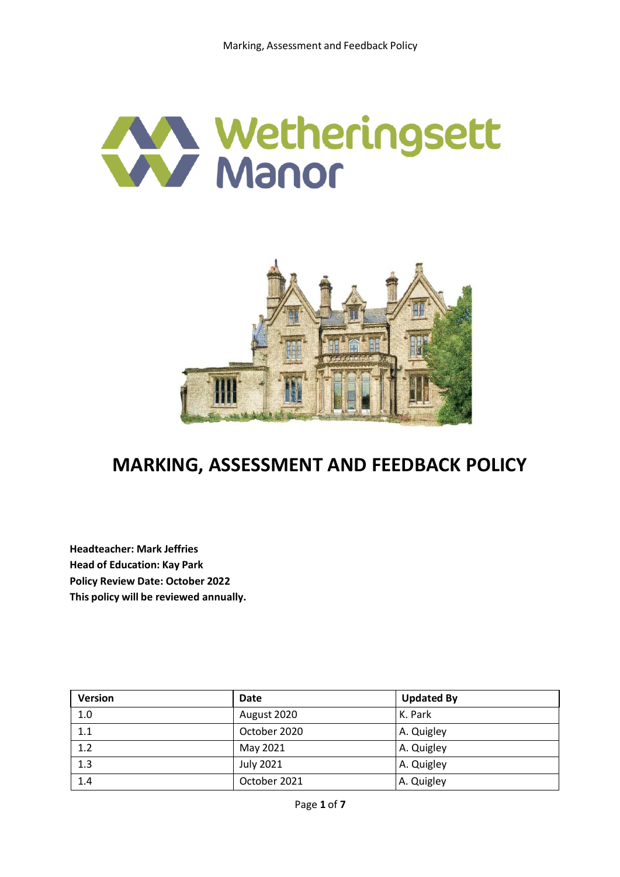



# **MARKING, ASSESSMENT AND FEEDBACK POLICY**

**Headteacher: Mark Jeffries Head of Education: Kay Park Policy Review Date: October 2022 This policy will be reviewed annually.**

| <b>Version</b> | Date             | <b>Updated By</b> |  |
|----------------|------------------|-------------------|--|
| 1.0            | August 2020      | K. Park           |  |
| 1.1            | October 2020     | A. Quigley        |  |
| 1.2            | May 2021         | A. Quigley        |  |
| 1.3            | <b>July 2021</b> | A. Quigley        |  |
| 1.4            | October 2021     | A. Quigley        |  |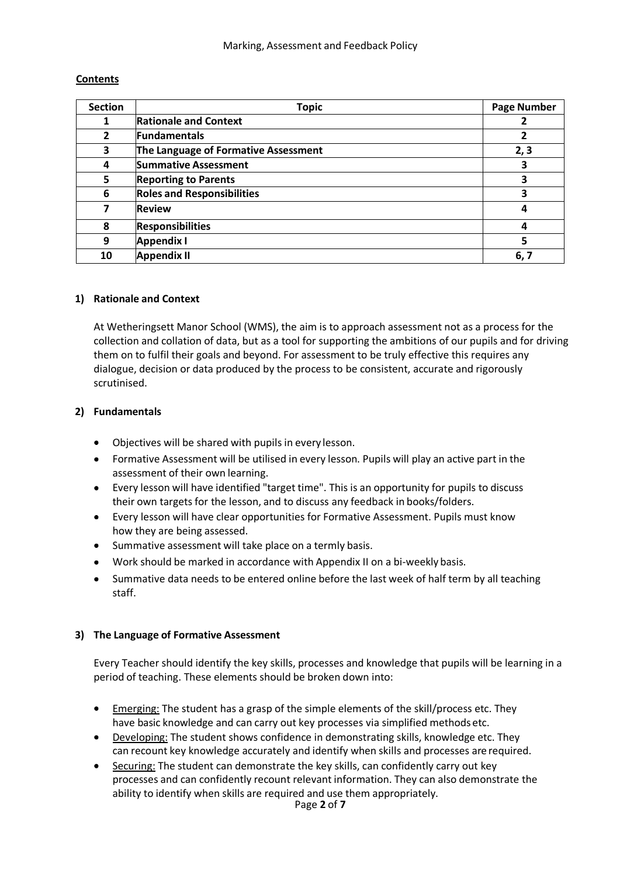# **Contents**

| <b>Section</b> | <b>Topic</b>                         | <b>Page Number</b> |  |  |  |
|----------------|--------------------------------------|--------------------|--|--|--|
|                | <b>Rationale and Context</b>         |                    |  |  |  |
| $\overline{2}$ | <b>Fundamentals</b>                  |                    |  |  |  |
| 3              | The Language of Formative Assessment |                    |  |  |  |
| 4              | <b>Summative Assessment</b>          | 3                  |  |  |  |
| 5              | <b>Reporting to Parents</b>          | 3                  |  |  |  |
| 6              | <b>Roles and Responsibilities</b>    |                    |  |  |  |
| 7              | <b>Review</b>                        | 4                  |  |  |  |
| 8              | <b>Responsibilities</b>              | 4                  |  |  |  |
| 9              | <b>Appendix I</b>                    | 5                  |  |  |  |
| 10             | <b>Appendix II</b>                   | 6,7                |  |  |  |

#### **1) Rationale and Context**

At Wetheringsett Manor School (WMS), the aim is to approach assessment not as a process for the collection and collation of data, but as a tool for supporting the ambitions of our pupils and for driving them on to fulfil their goals and beyond. For assessment to be truly effective this requires any dialogue, decision or data produced by the process to be consistent, accurate and rigorously scrutinised.

#### **2) Fundamentals**

- Objectives will be shared with pupils in every lesson.
- Formative Assessment will be utilised in every lesson. Pupils will play an active part in the assessment of their own learning.
- Every lesson will have identified "target time". This is an opportunity for pupils to discuss their own targets for the lesson, and to discuss any feedback in books/folders.
- $\bullet$ Every lesson will have clear opportunities for Formative Assessment. Pupils must know how they are being assessed.
- Summative assessment will take place on a termly basis.
- Work should be marked in accordance with Appendix II on a bi-weekly basis.
- Summative data needs to be entered online before the last week of half term by all teaching  $\bullet$ staff.

#### **3) The Language of Formative Assessment**

Every Teacher should identify the key skills, processes and knowledge that pupils will be learning in a period of teaching. These elements should be broken down into:

- Emerging: The student has a grasp of the simple elements of the skill/process etc. They have basic knowledge and can carry out key processes via simplified methods etc.
- Developing: The student shows confidence in demonstrating skills, knowledge etc. They can recount key knowledge accurately and identify when skills and processes are required.
- Securing: The student can demonstrate the key skills, can confidently carry out key  $\bullet$ processes and can confidently recount relevant information. They can also demonstrate the ability to identify when skills are required and use them appropriately.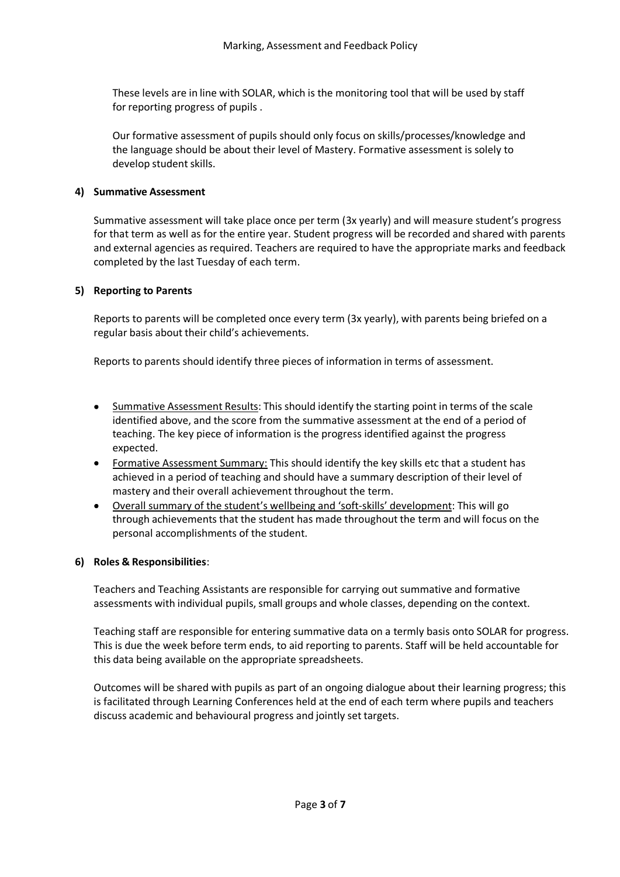These levels are in line with SOLAR, which is the monitoring tool that will be used by staff for reporting progress of pupils .

Our formative assessment of pupils should only focus on skills/processes/knowledge and the language should be about their level of Mastery. Formative assessment is solely to develop student skills.

# **4) Summative Assessment**

Summative assessment will take place once per term (3x yearly) and will measure student's progress for that term as well as for the entire year. Student progress will be recorded and shared with parents and external agencies as required. Teachers are required to have the appropriate marks and feedback completed by the last Tuesday of each term.

### **5) Reporting to Parents**

Reports to parents will be completed once every term (3x yearly), with parents being briefed on a regular basis about their child's achievements.

Reports to parents should identify three pieces of information in terms of assessment.

- Summative Assessment Results: This should identify the starting point in terms of the scale identified above, and the score from the summative assessment at the end of a period of teaching. The key piece of information is the progress identified against the progress expected.
- Formative Assessment Summary: This should identify the key skills etc that a student has achieved in a period of teaching and should have a summary description of their level of mastery and their overall achievement throughout the term.
- Overall summary of the student's wellbeing and 'soft-skills' development: This will go through achievements that the student has made throughout the term and will focus on the personal accomplishments of the student.

#### **6) Roles & Responsibilities**:

Teachers and Teaching Assistants are responsible for carrying out summative and formative assessments with individual pupils, small groups and whole classes, depending on the context.

Teaching staff are responsible for entering summative data on a termly basis onto SOLAR for progress. This is due the week before term ends, to aid reporting to parents. Staff will be held accountable for this data being available on the appropriate spreadsheets.

Outcomes will be shared with pupils as part of an ongoing dialogue about their learning progress; this is facilitated through Learning Conferences held at the end of each term where pupils and teachers discuss academic and behavioural progress and jointly set targets.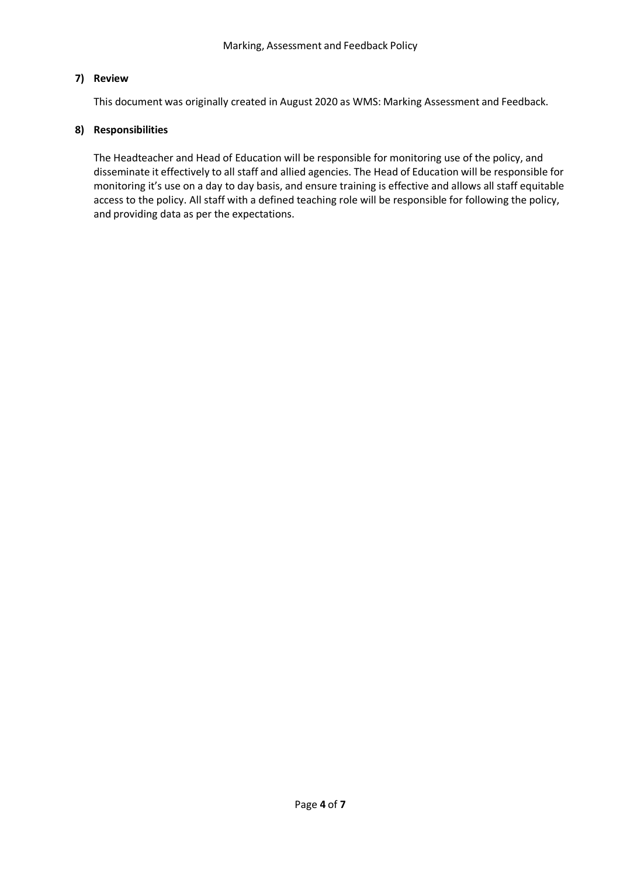# **7) Review**

This document was originally created in August 2020 as WMS: Marking Assessment and Feedback.

# **8) Responsibilities**

The Headteacher and Head of Education will be responsible for monitoring use of the policy, and disseminate it effectively to all staff and allied agencies. The Head of Education will be responsible for monitoring it's use on a day to day basis, and ensure training is effective and allows all staff equitable access to the policy. All staff with a defined teaching role will be responsible for following the policy, and providing data as per the expectations.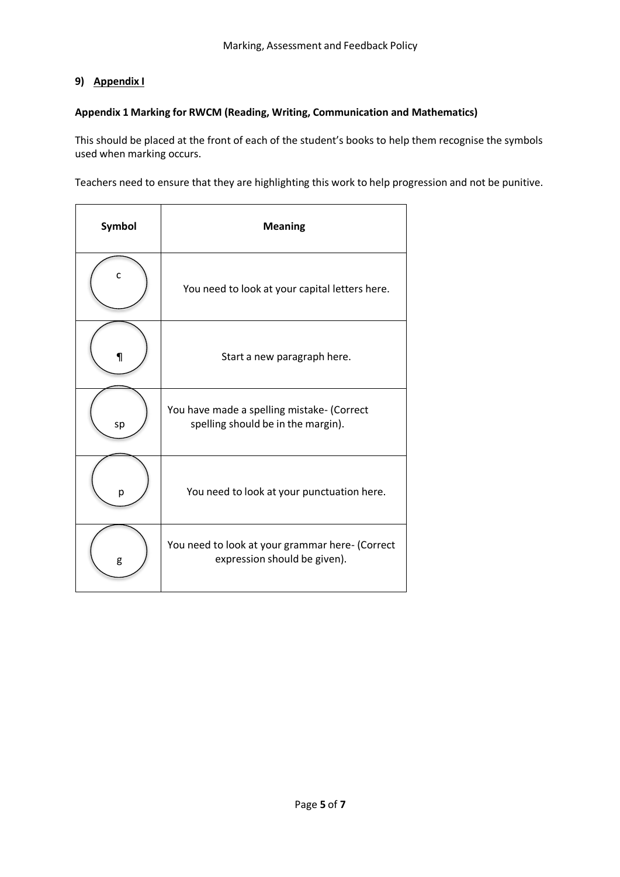# **9) Appendix I**

# **Appendix 1 Marking for RWCM (Reading, Writing, Communication and Mathematics)**

This should be placed at the front of each of the student's books to help them recognise the symbols used when marking occurs.

Teachers need to ensure that they are highlighting this work to help progression and not be punitive.

| Symbol | <b>Meaning</b>                                                                   |
|--------|----------------------------------------------------------------------------------|
|        | You need to look at your capital letters here.                                   |
| 1      | Start a new paragraph here.                                                      |
| sp     | You have made a spelling mistake- (Correct<br>spelling should be in the margin). |
| р      | You need to look at your punctuation here.                                       |
| g      | You need to look at your grammar here- (Correct<br>expression should be given).  |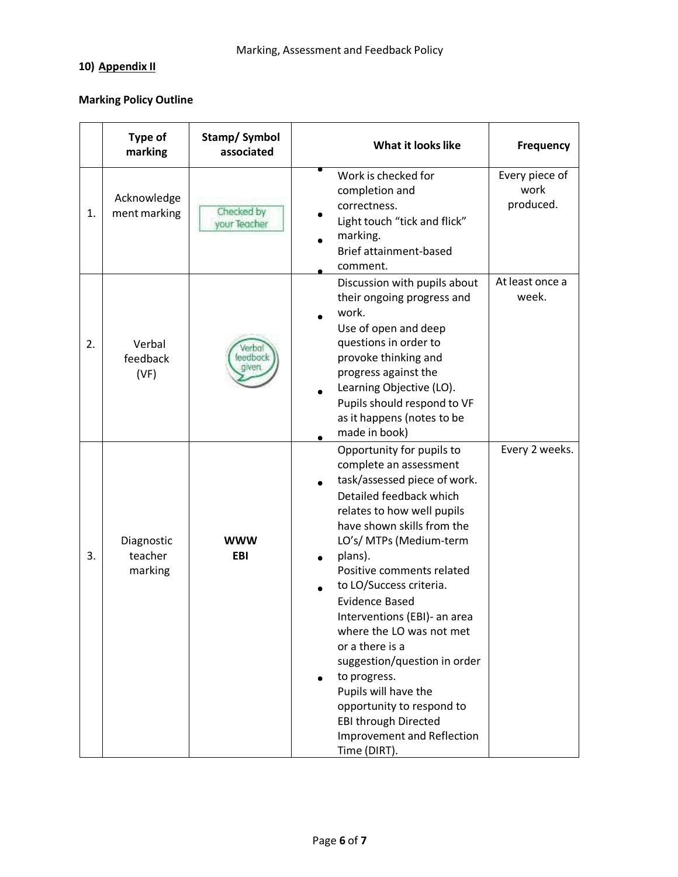# **10) Appendix II**

# **Marking Policy Outline**

|    | <b>Type of</b><br>marking        | Stamp/Symbol<br>associated | What it looks like                                                                                                                                                                                                                                                                                                                                                                                                                                                                                                                                                 | Frequency                           |
|----|----------------------------------|----------------------------|--------------------------------------------------------------------------------------------------------------------------------------------------------------------------------------------------------------------------------------------------------------------------------------------------------------------------------------------------------------------------------------------------------------------------------------------------------------------------------------------------------------------------------------------------------------------|-------------------------------------|
| 1. | Acknowledge<br>ment marking      | Checked by<br>your Teacher | Work is checked for<br>completion and<br>correctness.<br>Light touch "tick and flick"<br>marking.<br>Brief attainment-based<br>comment.                                                                                                                                                                                                                                                                                                                                                                                                                            | Every piece of<br>work<br>produced. |
| 2. | Verbal<br>feedback<br>(VF)       | eedback                    | Discussion with pupils about<br>their ongoing progress and<br>work.<br>Use of open and deep<br>questions in order to<br>provoke thinking and<br>progress against the<br>Learning Objective (LO).<br>Pupils should respond to VF<br>as it happens (notes to be<br>made in book)                                                                                                                                                                                                                                                                                     | At least once a<br>week.            |
| 3. | Diagnostic<br>teacher<br>marking | <b>WWW</b><br><b>EBI</b>   | Opportunity for pupils to<br>complete an assessment<br>task/assessed piece of work.<br>Detailed feedback which<br>relates to how well pupils<br>have shown skills from the<br>LO's/ MTPs (Medium-term<br>plans).<br>Positive comments related<br>to LO/Success criteria.<br><b>Evidence Based</b><br>Interventions (EBI)- an area<br>where the LO was not met<br>or a there is a<br>suggestion/question in order<br>to progress.<br>Pupils will have the<br>opportunity to respond to<br><b>EBI through Directed</b><br>Improvement and Reflection<br>Time (DIRT). | Every 2 weeks.                      |